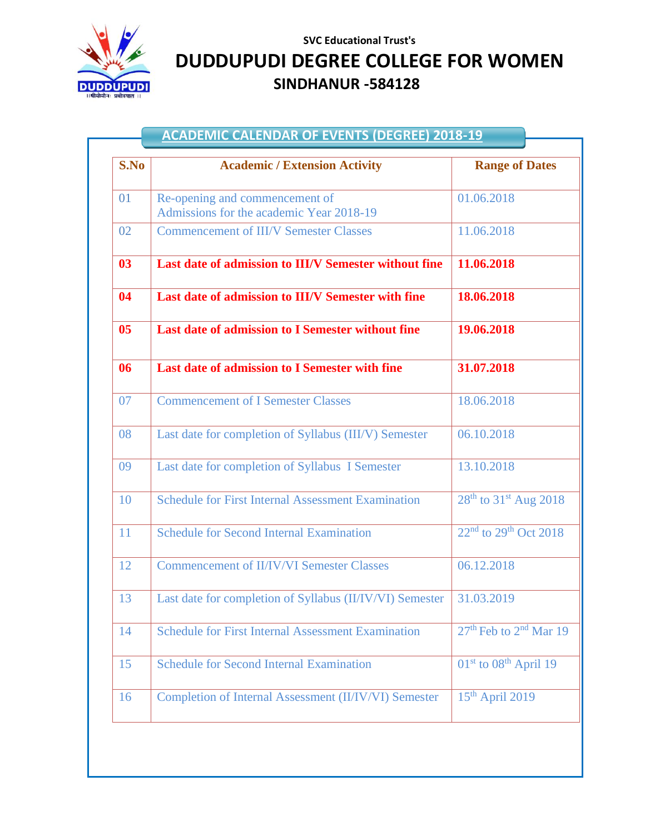

## **SVC Educational Trust's DUDDUPUDI DEGREE COLLEGE FOR WOMEN SINDHANUR -584128**

| <b>ACADEMIC CALENDAR OF EVENTS (DEGREE) 2018-19</b> |                                                                            |                                                |  |
|-----------------------------------------------------|----------------------------------------------------------------------------|------------------------------------------------|--|
| S.No                                                | <b>Academic / Extension Activity</b>                                       | <b>Range of Dates</b>                          |  |
| 01                                                  | Re-opening and commencement of<br>Admissions for the academic Year 2018-19 | 01.06.2018                                     |  |
| 02                                                  | <b>Commencement of III/V Semester Classes</b>                              | 11.06.2018                                     |  |
| 0 <sup>3</sup>                                      | Last date of admission to III/V Semester without fine                      | 11.06.2018                                     |  |
| 04                                                  | Last date of admission to III/V Semester with fine                         | 18.06.2018                                     |  |
| 0 <sub>5</sub>                                      | Last date of admission to I Semester without fine                          | 19.06.2018                                     |  |
| 06                                                  | Last date of admission to I Semester with fine                             | 31.07.2018                                     |  |
| 07                                                  | <b>Commencement of I Semester Classes</b>                                  | 18.06.2018                                     |  |
| 08                                                  | Last date for completion of Syllabus (III/V) Semester                      | 06.10.2018                                     |  |
| 09                                                  | Last date for completion of Syllabus I Semester                            | 13.10.2018                                     |  |
| 10                                                  | <b>Schedule for First Internal Assessment Examination</b>                  | $28^{th}$ to 31 <sup>st</sup> Aug 2018         |  |
| 11                                                  | <b>Schedule for Second Internal Examination</b>                            | $22nd$ to $29th$ Oct $2018$                    |  |
| 12                                                  | <b>Commencement of II/IV/VI Semester Classes</b>                           | 06.12.2018                                     |  |
| 13                                                  | Last date for completion of Syllabus (II/IV/VI) Semester 31.03.2019        |                                                |  |
| 14                                                  | <b>Schedule for First Internal Assessment Examination</b>                  | 27 <sup>th</sup> Feb to 2 <sup>nd</sup> Mar 19 |  |
| 15                                                  | <b>Schedule for Second Internal Examination</b>                            | 01 <sup>st</sup> to 08 <sup>th</sup> April 19  |  |
| 16                                                  | <b>Completion of Internal Assessment (II/IV/VI) Semester</b>               | $15th$ April 2019                              |  |